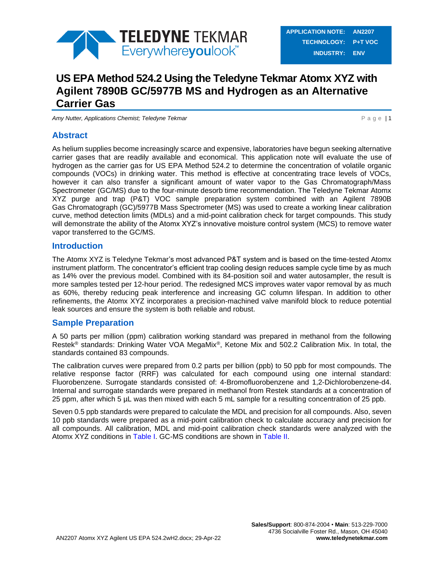

# **US EPA Method 524.2 Using the Teledyne Tekmar Atomx XYZ with Agilent 7890B GC/5977B MS and Hydrogen as an Alternative Carrier Gas**

*Amy Nutter, Applications Chemist; Teledyne Tekmar* **P and P and P a g e | 1** 

## **Abstract**

As helium supplies become increasingly scarce and expensive, laboratories have begun seeking alternative carrier gases that are readily available and economical. This application note will evaluate the use of hydrogen as the carrier gas for US EPA Method 524.2 to determine the concentration of volatile organic compounds (VOCs) in drinking water. This method is effective at concentrating trace levels of VOCs, however it can also transfer a significant amount of water vapor to the Gas Chromatograph/Mass Spectrometer (GC/MS) due to the four-minute desorb time recommendation. The Teledyne Tekmar Atomx XYZ purge and trap (P&T) VOC sample preparation system combined with an Agilent 7890B Gas Chromatograph (GC)/5977B Mass Spectrometer (MS) was used to create a working linear calibration curve, method detection limits (MDLs) and a mid-point calibration check for target compounds. This study will demonstrate the ability of the Atomx XYZ's innovative moisture control system (MCS) to remove water vapor transferred to the GC/MS.

### **Introduction**

The Atomx XYZ is Teledyne Tekmar's most advanced P&T system and is based on the time-tested Atomx instrument platform. The concentrator's efficient trap cooling design reduces sample cycle time by as much as 14% over the previous model. Combined with its 84-position soil and water autosampler, the result is more samples tested per 12-hour period. The redesigned MCS improves water vapor removal by as much as 60%, thereby reducing peak interference and increasing GC column lifespan. In addition to other refinements, the Atomx XYZ incorporates a precision-machined valve manifold block to reduce potential leak sources and ensure the system is both reliable and robust.

### **Sample Preparation**

A 50 parts per million (ppm) calibration working standard was prepared in methanol from the following Restek® standards: Drinking Water VOA MegaMix®, Ketone Mix and 502.2 Calibration Mix. In total, the standards contained 83 compounds.

The calibration curves were prepared from 0.2 parts per billion (ppb) to 50 ppb for most compounds. The relative response factor (RRF) was calculated for each compound using one internal standard: Fluorobenzene. Surrogate standards consisted of: 4-Bromofluorobenzene and 1,2-Dichlorobenzene-d4. Internal and surrogate standards were prepared in methanol from Restek standards at a concentration of 25 ppm, after which 5 µL was then mixed with each 5 mL sample for a resulting concentration of 25 ppb.

Seven 0.5 ppb standards were prepared to calculate the MDL and precision for all compounds. Also, seven 10 ppb standards were prepared as a mid-point calibration check to calculate accuracy and precision for all compounds. All calibration, MDL and mid-point calibration check standards were analyzed with the Atomx XYZ conditions in [Table I.](#page-1-0) GC-MS conditions are shown in [Table II.](#page-2-0)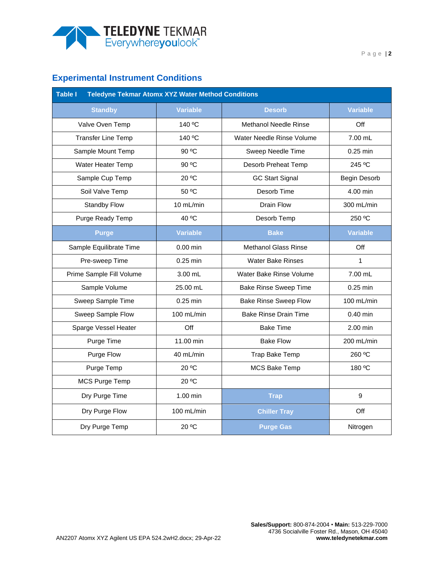

## **Experimental Instrument Conditions**

<span id="page-1-0"></span>

| Table I<br><b>Teledyne Tekmar Atomx XYZ Water Method Conditions</b> |                 |                              |                 |  |  |  |  |  |  |
|---------------------------------------------------------------------|-----------------|------------------------------|-----------------|--|--|--|--|--|--|
| <b>Standby</b>                                                      | <b>Variable</b> | <b>Desorb</b>                | <b>Variable</b> |  |  |  |  |  |  |
| Valve Oven Temp                                                     | 140 °C          | <b>Methanol Needle Rinse</b> | Off             |  |  |  |  |  |  |
| <b>Transfer Line Temp</b>                                           | 140 °C          | Water Needle Rinse Volume    | 7.00 mL         |  |  |  |  |  |  |
| Sample Mount Temp                                                   | 90 °C           | Sweep Needle Time            | $0.25$ min      |  |  |  |  |  |  |
| Water Heater Temp                                                   | 90 °C           | Desorb Preheat Temp          | 245 °C          |  |  |  |  |  |  |
| Sample Cup Temp                                                     | 20 °C           | <b>GC Start Signal</b>       | Begin Desorb    |  |  |  |  |  |  |
| Soil Valve Temp                                                     | 50 °C           | Desorb Time                  | 4.00 min        |  |  |  |  |  |  |
| <b>Standby Flow</b>                                                 | 10 mL/min       | Drain Flow                   | 300 mL/min      |  |  |  |  |  |  |
| Purge Ready Temp                                                    | 40 °C           | Desorb Temp                  | 250 °C          |  |  |  |  |  |  |
| <b>Purge</b>                                                        | <b>Variable</b> | <b>Bake</b>                  | <b>Variable</b> |  |  |  |  |  |  |
| Sample Equilibrate Time                                             | $0.00$ min      | <b>Methanol Glass Rinse</b>  | Off             |  |  |  |  |  |  |
| Pre-sweep Time                                                      | $0.25$ min      | <b>Water Bake Rinses</b>     | 1               |  |  |  |  |  |  |
| Prime Sample Fill Volume                                            | 3.00 mL         | Water Bake Rinse Volume      | 7.00 mL         |  |  |  |  |  |  |
| Sample Volume                                                       | 25.00 mL        | <b>Bake Rinse Sweep Time</b> | $0.25$ min      |  |  |  |  |  |  |
| Sweep Sample Time                                                   | $0.25$ min      | <b>Bake Rinse Sweep Flow</b> | 100 mL/min      |  |  |  |  |  |  |
| Sweep Sample Flow                                                   | $100$ mL/min    | <b>Bake Rinse Drain Time</b> | $0.40$ min      |  |  |  |  |  |  |
| Sparge Vessel Heater                                                | Off             | <b>Bake Time</b>             | 2.00 min        |  |  |  |  |  |  |
| Purge Time                                                          | 11.00 min       | <b>Bake Flow</b>             | 200 mL/min      |  |  |  |  |  |  |
| Purge Flow                                                          | 40 mL/min       | Trap Bake Temp               | 260 °C          |  |  |  |  |  |  |
| Purge Temp                                                          | 20 °C           | <b>MCS Bake Temp</b>         | 180 °C          |  |  |  |  |  |  |
| <b>MCS Purge Temp</b>                                               | 20 °C           |                              |                 |  |  |  |  |  |  |
| Dry Purge Time                                                      | 1.00 min        | <b>Trap</b>                  | 9               |  |  |  |  |  |  |
| Dry Purge Flow                                                      | 100 mL/min      | <b>Chiller Tray</b>          | Off             |  |  |  |  |  |  |
| Dry Purge Temp                                                      | 20 °C           | <b>Purge Gas</b>             | Nitrogen        |  |  |  |  |  |  |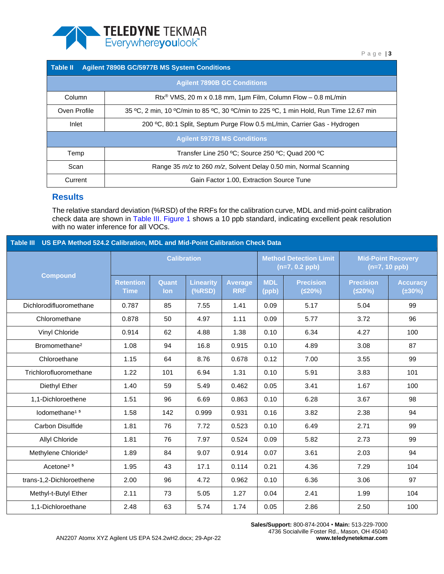

<span id="page-2-0"></span>

| <b>Agilent 7890B GC/5977B MS System Conditions</b><br><b>Table II</b> |                                                                                       |  |  |  |  |  |  |  |
|-----------------------------------------------------------------------|---------------------------------------------------------------------------------------|--|--|--|--|--|--|--|
|                                                                       | <b>Agilent 7890B GC Conditions</b>                                                    |  |  |  |  |  |  |  |
| Column                                                                | Rtx <sup>®</sup> VMS, 20 m x 0.18 mm, 1 $\mu$ m Film, Column Flow - 0.8 mL/min        |  |  |  |  |  |  |  |
| Oven Profile                                                          | 35 °C, 2 min, 10 °C/min to 85 °C, 30 °C/min to 225 °C, 1 min Hold, Run Time 12.67 min |  |  |  |  |  |  |  |
| Inlet                                                                 | 200 °C, 80:1 Split, Septum Purge Flow 0.5 mL/min, Carrier Gas - Hydrogen              |  |  |  |  |  |  |  |
| <b>Agilent 5977B MS Conditions</b>                                    |                                                                                       |  |  |  |  |  |  |  |
| Temp                                                                  | Transfer Line 250 °C; Source 250 °C; Quad 200 °C                                      |  |  |  |  |  |  |  |
| Scan                                                                  | Range 35 m/z to 260 m/z, Solvent Delay 0.50 min, Normal Scanning                      |  |  |  |  |  |  |  |
| Current                                                               | Gain Factor 1.00, Extraction Source Tune                                              |  |  |  |  |  |  |  |

### **Results**

The relative standard deviation (%RSD) of the RRFs for the calibration curve, MDL and mid-point calibration check data are shown in Table III. [Figure 1](#page-5-0) shows a 10 ppb standard, indicating excellent peak resolution with no water inference for all VOCs.

| US EPA Method 524.2 Calibration, MDL and Mid-Point Calibration Check Data<br><b>Table III</b> |                                 |              |                              |                              |                                                   |                            |                                              |                                 |  |
|-----------------------------------------------------------------------------------------------|---------------------------------|--------------|------------------------------|------------------------------|---------------------------------------------------|----------------------------|----------------------------------------------|---------------------------------|--|
| <b>Compound</b>                                                                               | <b>Calibration</b>              |              |                              |                              | <b>Method Detection Limit</b><br>$(n=7, 0.2$ ppb) |                            | <b>Mid-Point Recovery</b><br>$(n=7, 10$ ppb) |                                 |  |
|                                                                                               | <b>Retention</b><br><b>Time</b> | Quant<br>lon | <b>Linearity</b><br>$(*RSD)$ | <b>Average</b><br><b>RRF</b> | <b>MDL</b><br>(ppb)                               | <b>Precision</b><br>(520%) | <b>Precision</b><br>(520%)                   | <b>Accuracy</b><br>$(\pm 30\%)$ |  |
| Dichlorodifluoromethane                                                                       | 0.787                           | 85           | 7.55                         | 1.41                         | 0.09                                              | 5.17                       | 5.04                                         | 99                              |  |
| Chloromethane                                                                                 | 0.878                           | 50           | 4.97                         | 1.11                         | 0.09                                              | 5.77                       | 3.72                                         | 96                              |  |
| Vinyl Chloride                                                                                | 0.914                           | 62           | 4.88                         | 1.38                         | 0.10                                              | 6.34                       | 4.27                                         | 100                             |  |
| Bromomethane <sup>2</sup>                                                                     | 1.08                            | 94           | 16.8                         | 0.915                        | 0.10                                              | 4.89                       | 3.08                                         | 87                              |  |
| Chloroethane                                                                                  | 1.15                            | 64           | 8.76                         | 0.678                        | 0.12                                              | 7.00                       | 3.55                                         | 99                              |  |
| Trichlorofluoromethane                                                                        | 1.22                            | 101          | 6.94                         | 1.31                         | 0.10                                              | 5.91                       | 3.83                                         | 101                             |  |
| Diethyl Ether                                                                                 | 1.40                            | 59           | 5.49                         | 0.462                        | 0.05                                              | 3.41                       | 1.67                                         | 100                             |  |
| 1,1-Dichloroethene                                                                            | 1.51                            | 96           | 6.69                         | 0.863                        | 0.10                                              | 6.28                       | 3.67                                         | 98                              |  |
| lodomethane <sup>15</sup>                                                                     | 1.58                            | 142          | 0.999                        | 0.931                        | 0.16                                              | 3.82                       | 2.38                                         | 94                              |  |
| Carbon Disulfide                                                                              | 1.81                            | 76           | 7.72                         | 0.523                        | 0.10                                              | 6.49                       | 2.71                                         | 99                              |  |
| <b>Allyl Chloride</b>                                                                         | 1.81                            | 76           | 7.97                         | 0.524                        | 0.09                                              | 5.82                       | 2.73                                         | 99                              |  |
| Methylene Chloride <sup>2</sup>                                                               | 1.89                            | 84           | 9.07                         | 0.914                        | 0.07                                              | 3.61                       | 2.03                                         | 94                              |  |
| Acetone <sup>25</sup>                                                                         | 1.95                            | 43           | 17.1                         | 0.114                        | 0.21                                              | 4.36                       | 7.29                                         | 104                             |  |
| trans-1,2-Dichloroethene                                                                      | 2.00                            | 96           | 4.72                         | 0.962                        | 0.10                                              | 6.36                       | 3.06                                         | 97                              |  |
| Methyl-t-Butyl Ether                                                                          | 2.11                            | 73           | 5.05                         | 1.27                         | 0.04                                              | 2.41                       | 1.99                                         | 104                             |  |
| 1,1-Dichloroethane                                                                            | 2.48                            | 63           | 5.74                         | 1.74                         | 0.05                                              | 2.86                       | 2.50                                         | 100                             |  |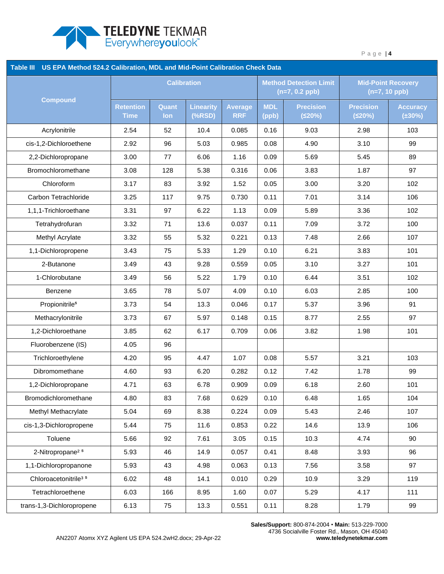

| Table III US EPA Method 524.2 Calibration, MDL and Mid-Point Calibration Check Data |                                 |                     |                              |                              |                     |                                                   |                                              |                                 |  |
|-------------------------------------------------------------------------------------|---------------------------------|---------------------|------------------------------|------------------------------|---------------------|---------------------------------------------------|----------------------------------------------|---------------------------------|--|
|                                                                                     | <b>Calibration</b>              |                     |                              |                              |                     | <b>Method Detection Limit</b><br>$(n=7, 0.2$ ppb) | <b>Mid-Point Recovery</b><br>$(n=7, 10$ ppb) |                                 |  |
| <b>Compound</b>                                                                     | <b>Retention</b><br><b>Time</b> | Quant<br><b>lon</b> | <b>Linearity</b><br>$(*RSD)$ | <b>Average</b><br><b>RRF</b> | <b>MDL</b><br>(ppb) | <b>Precision</b><br>(520%)                        | <b>Precision</b><br>(520%)                   | <b>Accuracy</b><br>$(\pm 30\%)$ |  |
| Acrylonitrile                                                                       | 2.54                            | 52                  | 10.4                         | 0.085                        | 0.16                | 9.03                                              | 2.98                                         | 103                             |  |
| cis-1,2-Dichloroethene                                                              | 2.92                            | 96                  | 5.03                         | 0.985                        | 0.08                | 4.90                                              | 3.10                                         | 99                              |  |
| 2,2-Dichloropropane                                                                 | 3.00                            | 77                  | 6.06                         | 1.16                         | 0.09                | 5.69                                              | 5.45                                         | 89                              |  |
| Bromochloromethane                                                                  | 3.08                            | 128                 | 5.38                         | 0.316                        | 0.06                | 3.83                                              | 1.87                                         | 97                              |  |
| Chloroform                                                                          | 3.17                            | 83                  | 3.92                         | 1.52                         | 0.05                | 3.00                                              | 3.20                                         | 102                             |  |
| Carbon Tetrachloride                                                                | 3.25                            | 117                 | 9.75                         | 0.730                        | 0.11                | 7.01                                              | 3.14                                         | 106                             |  |
| 1,1,1-Trichloroethane                                                               | 3.31                            | 97                  | 6.22                         | 1.13                         | 0.09                | 5.89                                              | 3.36                                         | 102                             |  |
| Tetrahydrofuran                                                                     | 3.32                            | 71                  | 13.6                         | 0.037                        | 0.11                | 7.09                                              | 3.72                                         | 100                             |  |
| Methyl Acrylate                                                                     | 3.32                            | 55                  | 5.32                         | 0.221                        | 0.13                | 7.48                                              | 2.66                                         | 107                             |  |
| 1,1-Dichloropropene                                                                 | 3.43                            | 75                  | 5.33                         | 1.29                         | 0.10                | 6.21                                              | 3.83                                         | 101                             |  |
| 2-Butanone                                                                          | 3.49                            | 43                  | 9.28                         | 0.559                        | 0.05                | 3.10                                              | 3.27                                         | 101                             |  |
| 1-Chlorobutane                                                                      | 3.49                            | 56                  | 5.22                         | 1.79                         | 0.10                | 6.44                                              | 3.51                                         | 102                             |  |
| Benzene                                                                             | 3.65                            | 78                  | 5.07                         | 4.09                         | 0.10                | 6.03                                              | 2.85                                         | 100                             |  |
| Propionitrile <sup>5</sup>                                                          | 3.73                            | 54                  | 13.3                         | 0.046                        | 0.17                | 5.37                                              | 3.96                                         | 91                              |  |
| Methacrylonitrile                                                                   | 3.73                            | 67                  | 5.97                         | 0.148                        | 0.15                | 8.77                                              | 2.55                                         | 97                              |  |
| 1,2-Dichloroethane                                                                  | 3.85                            | 62                  | 6.17                         | 0.709                        | 0.06                | 3.82                                              | 1.98                                         | 101                             |  |
| Fluorobenzene (IS)                                                                  | 4.05                            | 96                  |                              |                              |                     |                                                   |                                              |                                 |  |
| Trichloroethylene                                                                   | 4.20                            | 95                  | 4.47                         | 1.07                         | 0.08                | 5.57                                              | 3.21                                         | 103                             |  |
| Dibromomethane                                                                      | 4.60                            | 93                  | 6.20                         | 0.282                        | 0.12                | 7.42                                              | 1.78                                         | 99                              |  |
| 1,2-Dichloropropane                                                                 | 4.71                            | 63                  | 6.78                         | 0.909                        | 0.09                | 6.18                                              | 2.60                                         | 101                             |  |
| Bromodichloromethane                                                                | 4.80                            | 83                  | 7.68                         | 0.629                        | 0.10                | 6.48                                              | 1.65                                         | 104                             |  |
| Methyl Methacrylate                                                                 | 5.04                            | 69                  | 8.38                         | 0.224                        | 0.09                | 5.43                                              | 2.46                                         | 107                             |  |
| cis-1,3-Dichloropropene                                                             | 5.44                            | 75                  | 11.6                         | 0.853                        | 0.22                | 14.6                                              | 13.9                                         | 106                             |  |
| Toluene                                                                             | 5.66                            | 92                  | 7.61                         | 3.05                         | 0.15                | 10.3                                              | 4.74                                         | 90                              |  |
| 2-Nitropropane <sup>25</sup>                                                        | 5.93                            | 46                  | 14.9                         | 0.057                        | 0.41                | 8.48                                              | 3.93                                         | 96                              |  |
| 1,1-Dichloropropanone                                                               | 5.93                            | 43                  | 4.98                         | 0.063                        | 0.13                | 7.56                                              | 3.58                                         | 97                              |  |
| Chloroacetonitrile <sup>3</sup> <sup>5</sup>                                        | 6.02                            | 48                  | 14.1                         | 0.010                        | 0.29                | 10.9                                              | 3.29                                         | 119                             |  |
| Tetrachloroethene                                                                   | 6.03                            | 166                 | 8.95                         | 1.60                         | 0.07                | 5.29                                              | 4.17                                         | 111                             |  |
| trans-1,3-Dichloropropene                                                           | 6.13                            | 75                  | 13.3                         | 0.551                        | 0.11                | 8.28                                              | 1.79                                         | 99                              |  |

**Sales/Support:** 800-874-2004 • **Main:** 513-229-7000 4736 Socialville Foster Rd., Mason, OH 45040 **www.teledynetekmar.com**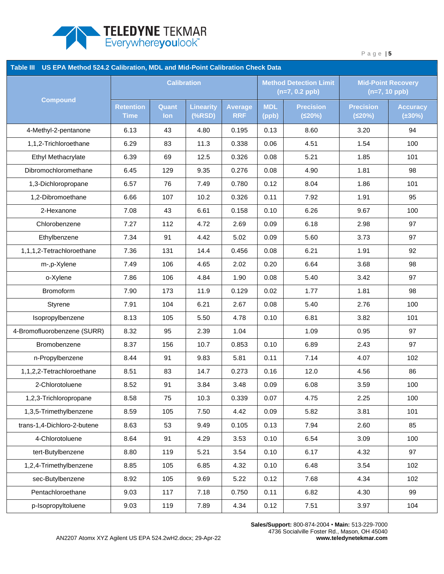

| Table III US EPA Method 524.2 Calibration, MDL and Mid-Point Calibration Check Data |                                 |                     |                       |                              |                     |                                                   |                                              |                                 |  |
|-------------------------------------------------------------------------------------|---------------------------------|---------------------|-----------------------|------------------------------|---------------------|---------------------------------------------------|----------------------------------------------|---------------------------------|--|
|                                                                                     | <b>Calibration</b>              |                     |                       |                              |                     | <b>Method Detection Limit</b><br>$(n=7, 0.2$ ppb) | <b>Mid-Point Recovery</b><br>$(n=7, 10$ ppb) |                                 |  |
| <b>Compound</b>                                                                     | <b>Retention</b><br><b>Time</b> | Quant<br><b>lon</b> | Linearity<br>$(*RSD)$ | <b>Average</b><br><b>RRF</b> | <b>MDL</b><br>(ppb) | <b>Precision</b><br>(520%)                        | <b>Precision</b><br>(520%)                   | <b>Accuracy</b><br>$(\pm 30\%)$ |  |
| 4-Methyl-2-pentanone                                                                | 6.13                            | 43                  | 4.80                  | 0.195                        | 0.13                | 8.60                                              | 3.20                                         | 94                              |  |
| 1,1,2-Trichloroethane                                                               | 6.29                            | 83                  | 11.3                  | 0.338                        | 0.06                | 4.51                                              | 1.54                                         | 100                             |  |
| Ethyl Methacrylate                                                                  | 6.39                            | 69                  | 12.5                  | 0.326                        | 0.08                | 5.21                                              | 1.85                                         | 101                             |  |
| Dibromochloromethane                                                                | 6.45                            | 129                 | 9.35                  | 0.276                        | 0.08                | 4.90                                              | 1.81                                         | 98                              |  |
| 1,3-Dichloropropane                                                                 | 6.57                            | 76                  | 7.49                  | 0.780                        | 0.12                | 8.04                                              | 1.86                                         | 101                             |  |
| 1,2-Dibromoethane                                                                   | 6.66                            | 107                 | 10.2                  | 0.326                        | 0.11                | 7.92                                              | 1.91                                         | 95                              |  |
| 2-Hexanone                                                                          | 7.08                            | 43                  | 6.61                  | 0.158                        | 0.10                | 6.26                                              | 9.67                                         | 100                             |  |
| Chlorobenzene                                                                       | 7.27                            | 112                 | 4.72                  | 2.69                         | 0.09                | 6.18                                              | 2.98                                         | 97                              |  |
| Ethylbenzene                                                                        | 7.34                            | 91                  | 4.42                  | 5.02                         | 0.09                | 5.60                                              | 3.73                                         | 97                              |  |
| 1,1,1,2-Tetrachloroethane                                                           | 7.36                            | 131                 | 14.4                  | 0.456                        | 0.08                | 6.21                                              | 1.91                                         | 92                              |  |
| m-,p-Xylene                                                                         | 7.49                            | 106                 | 4.65                  | 2.02                         | 0.20                | 6.64                                              | 3.68                                         | 98                              |  |
| o-Xylene                                                                            | 7.86                            | 106                 | 4.84                  | 1.90                         | 0.08                | 5.40                                              | 3.42                                         | 97                              |  |
| <b>Bromoform</b>                                                                    | 7.90                            | 173                 | 11.9                  | 0.129                        | 0.02                | 1.77                                              | 1.81                                         | 98                              |  |
| Styrene                                                                             | 7.91                            | 104                 | 6.21                  | 2.67                         | 0.08                | 5.40                                              | 2.76                                         | 100                             |  |
| Isopropylbenzene                                                                    | 8.13                            | 105                 | 5.50                  | 4.78                         | 0.10                | 6.81                                              | 3.82                                         | 101                             |  |
| 4-Bromofluorobenzene (SURR)                                                         | 8.32                            | 95                  | 2.39                  | 1.04                         |                     | 1.09                                              | 0.95                                         | 97                              |  |
| Bromobenzene                                                                        | 8.37                            | 156                 | 10.7                  | 0.853                        | 0.10                | 6.89                                              | 2.43                                         | 97                              |  |
| n-Propylbenzene                                                                     | 8.44                            | 91                  | 9.83                  | 5.81                         | 0.11                | 7.14                                              | 4.07                                         | 102                             |  |
| 1,1,2,2-Tetrachloroethane                                                           | 8.51                            | 83                  | 14.7                  | 0.273                        | 0.16                | 12.0                                              | 4.56                                         | 86                              |  |
| 2-Chlorotoluene                                                                     | 8.52                            | 91                  | 3.84                  | 3.48                         | 0.09                | 6.08                                              | 3.59                                         | 100                             |  |
| 1,2,3-Trichloropropane                                                              | 8.58                            | 75                  | 10.3                  | 0.339                        | 0.07                | 4.75                                              | 2.25                                         | 100                             |  |
| 1,3,5-Trimethylbenzene                                                              | 8.59                            | 105                 | 7.50                  | 4.42                         | 0.09                | 5.82                                              | 3.81                                         | 101                             |  |
| trans-1,4-Dichloro-2-butene                                                         | 8.63                            | 53                  | 9.49                  | 0.105                        | 0.13                | 7.94                                              | 2.60                                         | 85                              |  |
| 4-Chlorotoluene                                                                     | 8.64                            | 91                  | 4.29                  | 3.53                         | 0.10                | 6.54                                              | 3.09                                         | 100                             |  |
| tert-Butylbenzene                                                                   | 8.80                            | 119                 | 5.21                  | 3.54                         | 0.10                | 6.17                                              | 4.32                                         | 97                              |  |
| 1,2,4-Trimethylbenzene                                                              | 8.85                            | 105                 | 6.85                  | 4.32                         | 0.10                | 6.48                                              | 3.54                                         | 102                             |  |
| sec-Butylbenzene                                                                    | 8.92                            | 105                 | 9.69                  | 5.22                         | 0.12                | 7.68                                              | 4.34                                         | 102                             |  |
| Pentachloroethane                                                                   | 9.03                            | 117                 | 7.18                  | 0.750                        | 0.11                | 6.82                                              | 4.30                                         | 99                              |  |
| p-Isopropyltoluene                                                                  | 9.03                            | 119                 | 7.89                  | 4.34                         | 0.12                | 7.51                                              | 3.97                                         | 104                             |  |

**Sales/Support:** 800-874-2004 • **Main:** 513-229-7000 4736 Socialville Foster Rd., Mason, OH 45040 **www.teledynetekmar.com**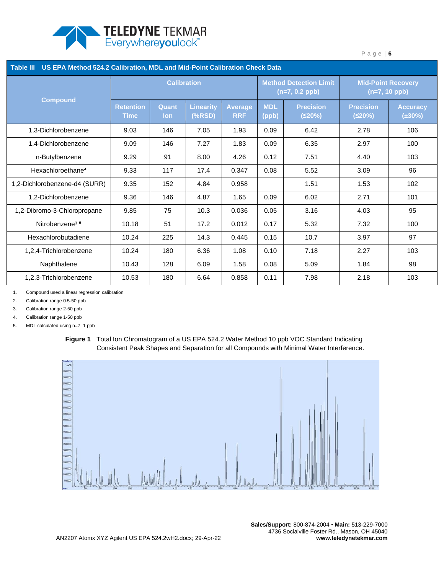

| US EPA Method 524.2 Calibration, MDL and Mid-Point Calibration Check Data<br><b>Table III</b> |                                 |                     |                            |                              |                                                   |                            |                                              |                                 |  |  |
|-----------------------------------------------------------------------------------------------|---------------------------------|---------------------|----------------------------|------------------------------|---------------------------------------------------|----------------------------|----------------------------------------------|---------------------------------|--|--|
| <b>Compound</b>                                                                               | <b>Calibration</b>              |                     |                            |                              | <b>Method Detection Limit</b><br>$(n=7, 0.2$ ppb) |                            | <b>Mid-Point Recovery</b><br>$(n=7, 10$ ppb) |                                 |  |  |
|                                                                                               | <b>Retention</b><br><b>Time</b> | Quant<br><b>lon</b> | <b>Linearity</b><br>(%RSD) | <b>Average</b><br><b>RRF</b> | <b>MDL</b><br>(ppb)                               | <b>Precision</b><br>(≤20%) | <b>Precision</b><br>(520%)                   | <b>Accuracy</b><br>$(\pm 30\%)$ |  |  |
| 1,3-Dichlorobenzene                                                                           | 9.03                            | 146                 | 7.05                       | 1.93                         | 0.09                                              | 6.42                       | 2.78                                         | 106                             |  |  |
| 1,4-Dichlorobenzene                                                                           | 9.09                            | 146                 | 7.27                       | 1.83                         | 0.09                                              | 6.35                       | 2.97                                         | 100                             |  |  |
| n-Butylbenzene                                                                                | 9.29                            | 91                  | 8.00                       | 4.26                         | 0.12                                              | 7.51                       | 4.40                                         | 103                             |  |  |
| Hexachloroethane <sup>4</sup>                                                                 | 9.33                            | 117                 | 17.4                       | 0.347                        | 0.08                                              | 5.52                       | 3.09                                         | 96                              |  |  |
| 1,2-Dichlorobenzene-d4 (SURR)                                                                 | 9.35                            | 152                 | 4.84                       | 0.958                        |                                                   | 1.51                       | 1.53                                         | 102                             |  |  |
| 1,2-Dichlorobenzene                                                                           | 9.36                            | 146                 | 4.87                       | 1.65                         | 0.09                                              | 6.02                       | 2.71                                         | 101                             |  |  |
| 1,2-Dibromo-3-Chloropropane                                                                   | 9.85                            | 75                  | 10.3                       | 0.036                        | 0.05                                              | 3.16                       | 4.03                                         | 95                              |  |  |
| Nitrobenzene <sup>35</sup>                                                                    | 10.18                           | 51                  | 17.2                       | 0.012                        | 0.17                                              | 5.32                       | 7.32                                         | 100                             |  |  |
| Hexachlorobutadiene                                                                           | 10.24                           | 225                 | 14.3                       | 0.445                        | 0.15                                              | 10.7                       | 3.97                                         | 97                              |  |  |
| 1,2,4-Trichlorobenzene                                                                        | 10.24                           | 180                 | 6.36                       | 1.08                         | 0.10                                              | 7.18                       | 2.27                                         | 103                             |  |  |
| Naphthalene                                                                                   | 10.43                           | 128                 | 6.09                       | 1.58                         | 0.08                                              | 5.09                       | 1.84                                         | 98                              |  |  |
| 1.2.3-Trichlorobenzene                                                                        | 10.53                           | 180                 | 6.64                       | 0.858                        | 0.11                                              | 7.98                       | 2.18                                         | 103                             |  |  |

1. Compound used a linear regression calibration

2. Calibration range 0.5-50 ppb

3. Calibration range 2-50 ppb

4. Calibration range 1-50 ppb

5. MDL calculated using n=7, 1 ppb

<span id="page-5-0"></span>**Figure 1** Total Ion Chromatogram of a US EPA 524.2 Water Method 10 ppb VOC Standard Indicating Consistent Peak Shapes and Separation for all Compounds with Minimal Water Interference.